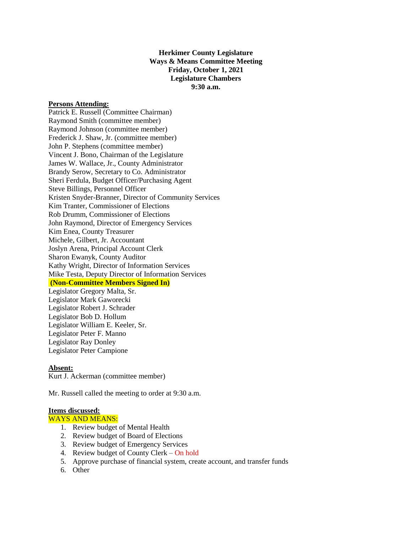**Herkimer County Legislature Ways & Means Committee Meeting Friday, October 1, 2021 Legislature Chambers 9:30 a.m.**

## **Persons Attending:**

Patrick E. Russell (Committee Chairman) Raymond Smith (committee member) Raymond Johnson (committee member) Frederick J. Shaw, Jr. (committee member) John P. Stephens (committee member) Vincent J. Bono, Chairman of the Legislature James W. Wallace, Jr., County Administrator Brandy Serow, Secretary to Co. Administrator Sheri Ferdula, Budget Officer/Purchasing Agent Steve Billings, Personnel Officer Kristen Snyder-Branner, Director of Community Services Kim Tranter, Commissioner of Elections Rob Drumm, Commissioner of Elections John Raymond, Director of Emergency Services Kim Enea, County Treasurer Michele, Gilbert, Jr. Accountant Joslyn Arena, Principal Account Clerk Sharon Ewanyk, County Auditor Kathy Wright, Director of Information Services Mike Testa, Deputy Director of Information Services **(Non-Committee Members Signed In)** Legislator Gregory Malta, Sr.

Legislator Mark Gaworecki Legislator Robert J. Schrader Legislator Bob D. Hollum Legislator William E. Keeler, Sr. Legislator Peter F. Manno Legislator Ray Donley Legislator Peter Campione

## **Absent:**

Kurt J. Ackerman (committee member)

Mr. Russell called the meeting to order at 9:30 a.m.

## **Items discussed:**

# WAYS AND MEANS:

- 1. Review budget of Mental Health
- 2. Review budget of Board of Elections
- 3. Review budget of Emergency Services
- 4. Review budget of County Clerk On hold
- 5. Approve purchase of financial system, create account, and transfer funds
- 6. Other